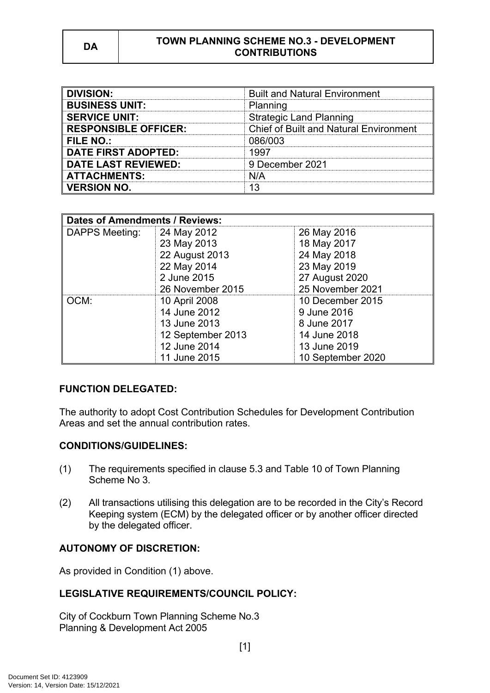| <b>DIVISION:</b>            | <b>Built and Natural Environment</b>          |  |
|-----------------------------|-----------------------------------------------|--|
| <b>BUSINESS UNIT:</b>       | Planning                                      |  |
| <b>SERVICE UNIT:</b>        | <b>Strategic Land Planning</b>                |  |
| <b>RESPONSIBLE OFFICER:</b> | <b>Chief of Built and Natural Environment</b> |  |
| FILE NO.:                   | 086/003                                       |  |
| <b>DATE FIRST ADOPTED:</b>  | 1997                                          |  |
| <b>DATE LAST REVIEWED:</b>  | 9 December 2021                               |  |
| <b>ATTACHMENTS:</b>         | N/A                                           |  |
| <b>VERSION NO.</b>          |                                               |  |

| <b>Dates of Amendments / Reviews:</b> |                   |                   |
|---------------------------------------|-------------------|-------------------|
| <b>DAPPS Meeting:</b>                 | 24 May 2012       | 26 May 2016       |
|                                       | 23 May 2013       | 18 May 2017       |
|                                       | 22 August 2013    | 24 May 2018       |
|                                       | 22 May 2014       | 23 May 2019       |
|                                       | 2 June 2015       | 27 August 2020    |
|                                       | 26 November 2015  | 25 November 2021  |
| OCM:                                  | 10 April 2008     | 10 December 2015  |
|                                       | 14 June 2012      | 9 June 2016       |
|                                       | 13 June 2013      | 8 June 2017       |
|                                       | 12 September 2013 | 14 June 2018      |
|                                       | 12 June 2014      | 13 June 2019      |
|                                       | 11 June 2015      | 10 September 2020 |

### **FUNCTION DELEGATED:**

The authority to adopt Cost Contribution Schedules for Development Contribution Areas and set the annual contribution rates.

### **CONDITIONS/GUIDELINES:**

- (1) The requirements specified in clause 5.3 and Table 10 of Town Planning Scheme No 3.
- (2) All transactions utilising this delegation are to be recorded in the City's Record Keeping system (ECM) by the delegated officer or by another officer directed by the delegated officer.

## **AUTONOMY OF DISCRETION:**

As provided in Condition (1) above.

## **LEGISLATIVE REQUIREMENTS/COUNCIL POLICY:**

City of Cockburn Town Planning Scheme No.3 Planning & Development Act 2005